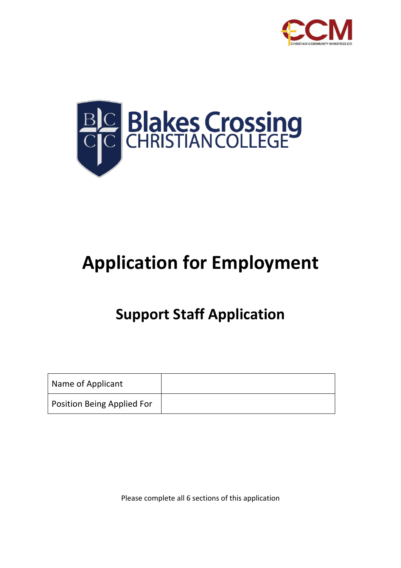



# **Application for Employment**

## **Support Staff Application**

| Name of Applicant                 |  |
|-----------------------------------|--|
| <b>Position Being Applied For</b> |  |

Please complete all 6 sections of this application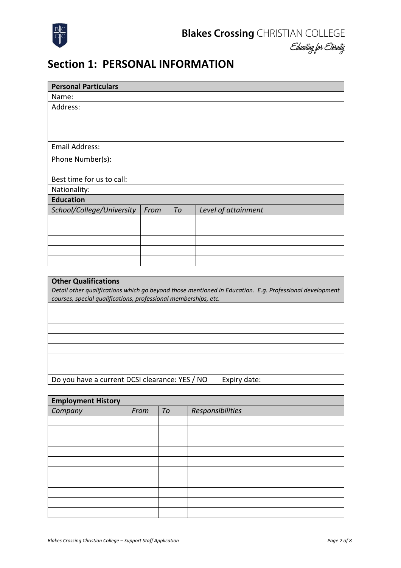

#### **Section 1: PERSONAL INFORMATION**

| <b>Personal Particulars</b> |      |    |                                                                                                         |
|-----------------------------|------|----|---------------------------------------------------------------------------------------------------------|
| Name:                       |      |    |                                                                                                         |
| Address:                    |      |    |                                                                                                         |
|                             |      |    |                                                                                                         |
|                             |      |    |                                                                                                         |
|                             |      |    |                                                                                                         |
| <b>Email Address:</b>       |      |    |                                                                                                         |
| Phone Number(s):            |      |    |                                                                                                         |
|                             |      |    |                                                                                                         |
| Best time for us to call:   |      |    |                                                                                                         |
| Nationality:                |      |    |                                                                                                         |
| <b>Education</b>            |      |    |                                                                                                         |
| School/College/University   | From | To | Level of attainment                                                                                     |
|                             |      |    |                                                                                                         |
|                             |      |    |                                                                                                         |
|                             |      |    |                                                                                                         |
|                             |      |    |                                                                                                         |
|                             |      |    |                                                                                                         |
|                             |      |    |                                                                                                         |
| <b>Other Qualifications</b> |      |    |                                                                                                         |
|                             |      |    | Detail other qualifications which an hevand those mentioned in Education. E.g. Professional development |

*Detail other qualifications which go beyond those mentioned in Education. E.g. Professional development courses, special qualifications, professional memberships, etc.*

Do you have a current DCSI clearance: YES / NO Expiry date:

| <b>Employment History</b> |      |    |                  |  |
|---------------------------|------|----|------------------|--|
| Company                   | From | To | Responsibilities |  |
|                           |      |    |                  |  |
|                           |      |    |                  |  |
|                           |      |    |                  |  |
|                           |      |    |                  |  |
|                           |      |    |                  |  |
|                           |      |    |                  |  |
|                           |      |    |                  |  |
|                           |      |    |                  |  |
|                           |      |    |                  |  |
|                           |      |    |                  |  |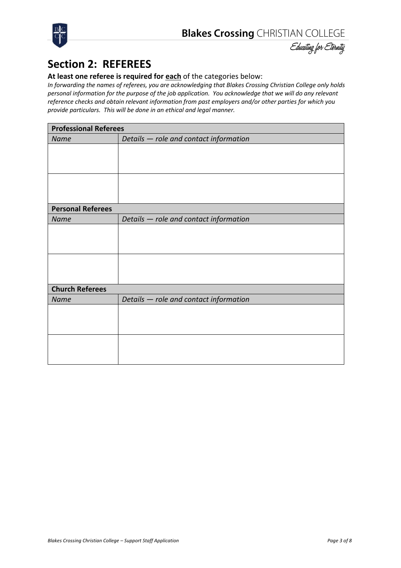



## **Section 2: REFEREES**

#### **At least one referee is required for each** of the categories below:

*In forwarding the names of referees, you are acknowledging that Blakes Crossing Christian College only holds personal information for the purpose of the job application. You acknowledge that we will do any relevant reference checks and obtain relevant information from past employers and/or other parties for which you provide particulars. This will be done in an ethical and legal manner.*

| <b>Professional Referees</b> |                                        |  |  |  |
|------------------------------|----------------------------------------|--|--|--|
| Name                         | Details - role and contact information |  |  |  |
|                              |                                        |  |  |  |
|                              |                                        |  |  |  |
|                              |                                        |  |  |  |
|                              |                                        |  |  |  |
|                              |                                        |  |  |  |
|                              |                                        |  |  |  |
| <b>Personal Referees</b>     |                                        |  |  |  |
| Name                         | Details - role and contact information |  |  |  |
|                              |                                        |  |  |  |
|                              |                                        |  |  |  |
|                              |                                        |  |  |  |
|                              |                                        |  |  |  |
|                              |                                        |  |  |  |
|                              |                                        |  |  |  |
| <b>Church Referees</b>       |                                        |  |  |  |
| Name                         | Details - role and contact information |  |  |  |
|                              |                                        |  |  |  |
|                              |                                        |  |  |  |
|                              |                                        |  |  |  |
|                              |                                        |  |  |  |
|                              |                                        |  |  |  |
|                              |                                        |  |  |  |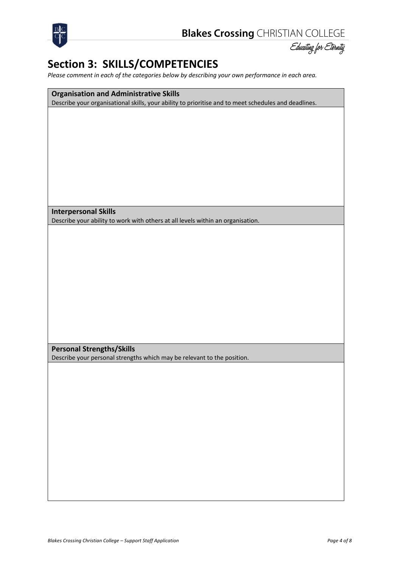



## **Section 3: SKILLS/COMPETENCIES**

*Please comment in each of the categories below by describing your own performance in each area.*

**Organisation and Administrative Skills** Describe your organisational skills, your ability to prioritise and to meet schedules and deadlines.

**Interpersonal Skills**

Describe your ability to work with others at all levels within an organisation.

**Personal Strengths/Skills**

Describe your personal strengths which may be relevant to the position.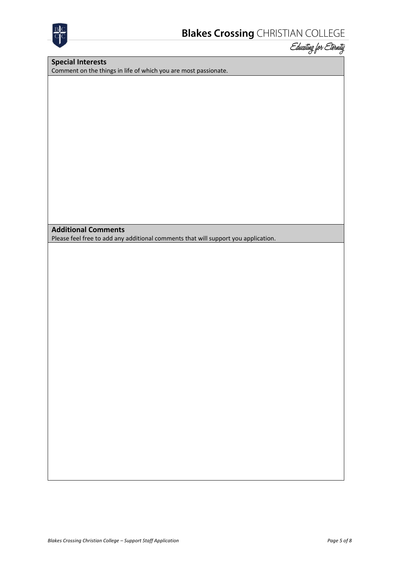

#### **Special Interests**

Comment on the things in life of which you are most passionate.

**Additional Comments**

Please feel free to add any additional comments that will support you application.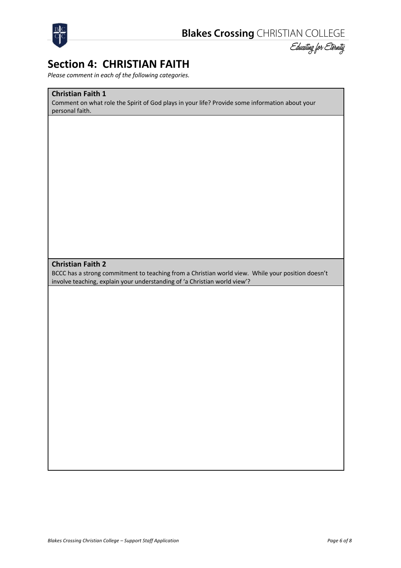

#### **Section 4: CHRISTIAN FAITH**

*Please comment in each of the following categories.*

#### **Christian Faith 1**

Comment on what role the Spirit of God plays in your life? Provide some information about your personal faith.

#### **Christian Faith 2**

BCCC has a strong commitment to teaching from a Christian world view. While your position doesn't involve teaching, explain your understanding of 'a Christian world view'?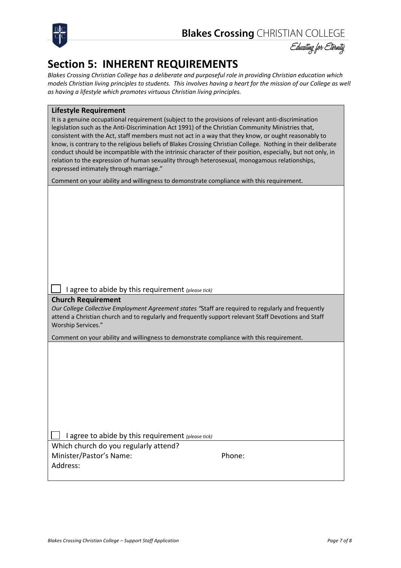



## **Section 5: INHERENT REQUIREMENTS**

*Blakes Crossing Christian College has a deliberate and purposeful role in providing Christian education which models Christian living principles to students. This involves having a heart for the mission of our College as well as having a lifestyle which promotes virtuous Christian living principles.*

| <b>Lifestyle Requirement</b> |  |  |  |  |  |
|------------------------------|--|--|--|--|--|
|------------------------------|--|--|--|--|--|

It is a genuine occupational requirement (subject to the provisions of relevant anti-discrimination legislation such as the Anti-Discrimination Act 1991) of the Christian Community Ministries that, consistent with the Act, staff members must not act in a way that they know, or ought reasonably to know, is contrary to the religious beliefs of Blakes Crossing Christian College. Nothing in their deliberate conduct should be incompatible with the intrinsic character of their position, especially, but not only, in relation to the expression of human sexuality through heterosexual, monogamous relationships, expressed intimately through marriage."

Comment on your ability and willingness to demonstrate compliance with this requirement.

|  |  |  |  | $\Box$ I agree to abide by this requirement (please tick) |  |
|--|--|--|--|-----------------------------------------------------------|--|
|--|--|--|--|-----------------------------------------------------------|--|

#### **Church Requirement**

*Our College Collective Employment Agreement states "*Staff are required to regularly and frequently attend a Christian church and to regularly and frequently support relevant Staff Devotions and Staff Worship Services."

Comment on your ability and willingness to demonstrate compliance with this requirement.

q I agree to abide by this requirement *(please tick)* Which church do you regularly attend?

Minister/Pastor's Name: Phone: Address: